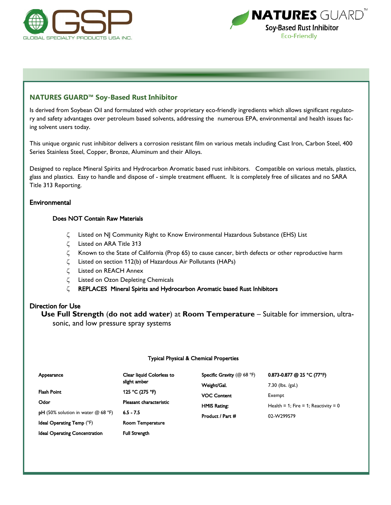



# **NATURES GUARD™ Soy-Based Rust Inhibitor**

Is derived from Soybean Oil and formulated with other proprietary eco-friendly ingredients which allows significant regulatory and safety advantages over petroleum based solvents, addressing the numerous EPA, environmental and health issues facing solvent users today.

This unique organic rust inhibitor delivers a corrosion resistant film on various metals including Cast Iron, Carbon Steel, 400 Series Stainless Steel, Copper, Bronze, Aluminum and their Alloys.

Designed to replace Mineral Spirits and Hydrocarbon Aromatic based rust inhibitors. Compatible on various metals, plastics, glass and plastics. Easy to handle and dispose of - simple treatment effluent. It is completely free of silicates and no SARA Title 313 Reporting.

## **Environmental**

# Does NOT Contain Raw Materials

- Listed on NJ Community Right to Know Environmental Hazardous Substance (EHS) List
- Listed on ARA Title 313
- $\zeta$  Known to the State of California (Prop 65) to cause cancer, birth defects or other reproductive harm
- $\zeta$  Listed on section 112(b) of Hazardous Air Pollutants (HAPs)
- $\zeta$  Listed on REACH Annex
- $\zeta$  Listed on Ozon Depleting Chemicals
- REPLACES Mineral Spirits and Hydrocarbon Aromatic based Rust Inhibitors

## Direction for Use

**Use Full Strength** (**do not add water**) at **Room Temperature** – Suitable for immersion, ultrasonic, and low pressure spray systems

#### Typical Physical & Chemical Properties

| Appearance                                  | Clear liquid Colorless to | Specific Gravity (@ 68 °F) | 0.873-0.877 @ 25 °C (77°F)             |
|---------------------------------------------|---------------------------|----------------------------|----------------------------------------|
|                                             | slight amber              | Weight/Gal.                | $7.30$ (lbs. /gal.)                    |
| <b>Flash Point</b>                          | 125 °C (275 °F)           | <b>VOC Content</b>         | Exempt                                 |
| Odor                                        | Pleasant characteristic   | <b>HMIS Rating:</b>        | Health = 1; Fire = 1; Reactivity = $0$ |
| <b>pH</b> (50% solution in water $@$ 68 °F) | $6.5 - 7.5$               | Product / Part #           | 02-W299579                             |
| <b>Ideal Operating Temp (°F)</b>            | <b>Room Temperature</b>   |                            |                                        |
| <b>Ideal Operating Concentration</b>        | <b>Full Strength</b>      |                            |                                        |